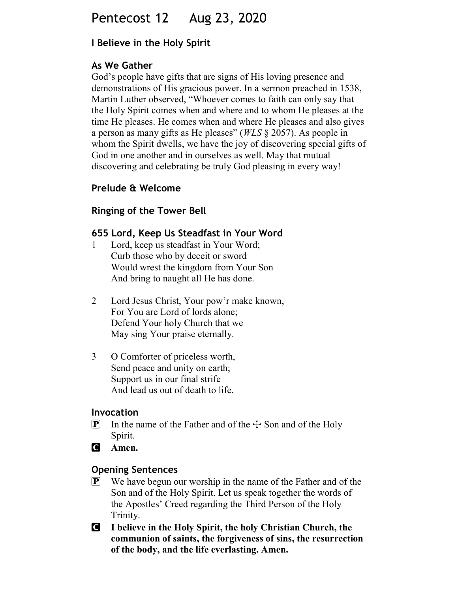# Pentecost 12 Aug 23, 2020

### I Believe in the Holy Spirit

#### As We Gather

God's people have gifts that are signs of His loving presence and demonstrations of His gracious power. In a sermon preached in 1538, Martin Luther observed, "Whoever comes to faith can only say that the Holy Spirit comes when and where and to whom He pleases at the time He pleases. He comes when and where He pleases and also gives a person as many gifts as He pleases" (WLS § 2057). As people in whom the Spirit dwells, we have the joy of discovering special gifts of God in one another and in ourselves as well. May that mutual discovering and celebrating be truly God pleasing in every way!

#### Prelude & Welcome

#### Ringing of the Tower Bell

#### 655 Lord, Keep Us Steadfast in Your Word

- 1 Lord, keep us steadfast in Your Word; Curb those who by deceit or sword Would wrest the kingdom from Your Son And bring to naught all He has done.
- 2 Lord Jesus Christ, Your pow'r make known, For You are Lord of lords alone; Defend Your holy Church that we May sing Your praise eternally.
- 3 O Comforter of priceless worth, Send peace and unity on earth; Support us in our final strife And lead us out of death to life.

#### Invocation

- **P** In the name of the Father and of the  $\div$  Son and of the Holy Spirit.
- **C** Amen.

#### Opening Sentences

- P We have begun our worship in the name of the Father and of the Son and of the Holy Spirit. Let us speak together the words of the Apostles' Creed regarding the Third Person of the Holy Trinity.
- C I believe in the Holy Spirit, the holy Christian Church, the communion of saints, the forgiveness of sins, the resurrection of the body, and the life everlasting. Amen.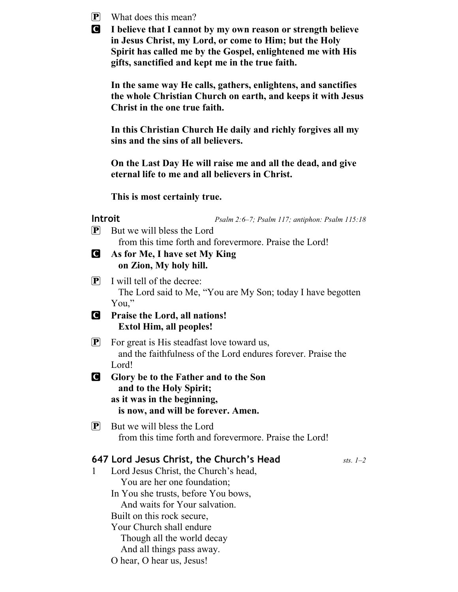| $\left[\mathbf{P}\right]$<br><b>g</b> | What does this mean?<br>I believe that I cannot by my own reason or strength believe<br>in Jesus Christ, my Lord, or come to Him; but the Holy<br>Spirit has called me by the Gospel, enlightened me with His<br>gifts, sanctified and kept me in the true faith.                                                           |
|---------------------------------------|-----------------------------------------------------------------------------------------------------------------------------------------------------------------------------------------------------------------------------------------------------------------------------------------------------------------------------|
|                                       | In the same way He calls, gathers, enlightens, and sanctifies<br>the whole Christian Church on earth, and keeps it with Jesus<br>Christ in the one true faith.                                                                                                                                                              |
|                                       | In this Christian Church He daily and richly forgives all my<br>sins and the sins of all believers.                                                                                                                                                                                                                         |
|                                       | On the Last Day He will raise me and all the dead, and give<br>eternal life to me and all believers in Christ.                                                                                                                                                                                                              |
|                                       | This is most certainly true.                                                                                                                                                                                                                                                                                                |
| $\left[ \mathbf{P}\right]$            | <b>Introit</b><br>Psalm 2:6-7; Psalm 117; antiphon: Psalm 115:18<br>But we will bless the Lord<br>from this time forth and forevermore. Praise the Lord!                                                                                                                                                                    |
| <b>C</b>                              | As for Me, I have set My King<br>on Zion, My holy hill.                                                                                                                                                                                                                                                                     |
| $ {\bf P} $                           | I will tell of the decree:<br>The Lord said to Me, "You are My Son; today I have begotten<br>You,"                                                                                                                                                                                                                          |
| <b>C</b>                              | Praise the Lord, all nations!<br><b>Extol Him, all peoples!</b>                                                                                                                                                                                                                                                             |
| $\boxed{\mathbf{P}}$                  | For great is His steadfast love toward us,<br>and the faithfulness of the Lord endures forever. Praise the<br>Lord!                                                                                                                                                                                                         |
| $\blacksquare$                        | Glory be to the Father and to the Son<br>and to the Holy Spirit;<br>as it was in the beginning,<br>is now, and will be forever. Amen.                                                                                                                                                                                       |
| $\left[\mathbf{P}\right]$             | But we will bless the Lord<br>from this time forth and forevermore. Praise the Lord!                                                                                                                                                                                                                                        |
|                                       | 647 Lord Jesus Christ, the Church's Head<br>sts. $1-2$<br>Lord Jesus Christ, the Church's head,<br>You are her one foundation;<br>In You she trusts, before You bows,<br>And waits for Your salvation.<br>Built on this rock secure,<br>Your Church shall endure<br>Though all the world decay<br>And all things pass away. |

O hear, O hear us, Jesus!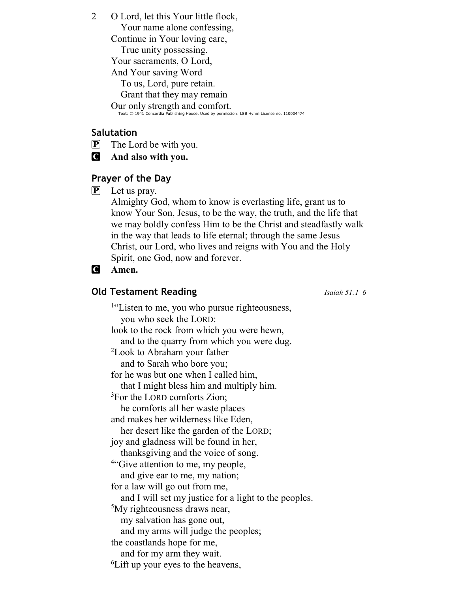2 O Lord, let this Your little flock,

Your name alone confessing,

Continue in Your loving care,

True unity possessing.

Your sacraments, O Lord,

And Your saving Word

To us, Lord, pure retain.

Grant that they may remain

Our only strength and comfort.

Text: © 1941 Concordia Publishing House. Used by permission: LSB Hymn License no. 110004474

## Salutation

 $\mathbf{P}$  The Lord be with you.

C And also with you.

## Prayer of the Day

 $\mathbf{P}$  Let us pray.

Almighty God, whom to know is everlasting life, grant us to know Your Son, Jesus, to be the way, the truth, and the life that we may boldly confess Him to be the Christ and steadfastly walk in the way that leads to life eternal; through the same Jesus Christ, our Lord, who lives and reigns with You and the Holy Spirit, one God, now and forever.

## C Amen.

## **Old Testament Reading Isaiah 51:1–6**

<sup>1"</sup>Listen to me, you who pursue righteousness, you who seek the LORD: look to the rock from which you were hewn, and to the quarry from which you were dug. <sup>2</sup>Look to Abraham your father and to Sarah who bore you; for he was but one when I called him, that I might bless him and multiply him. <sup>3</sup>For the LORD comforts Zion; he comforts all her waste places and makes her wilderness like Eden, her desert like the garden of the LORD; joy and gladness will be found in her, thanksgiving and the voice of song. <sup>4"</sup>Give attention to me, my people, and give ear to me, my nation; for a law will go out from me, and I will set my justice for a light to the peoples. <sup>5</sup>My righteousness draws near, my salvation has gone out, and my arms will judge the peoples; the coastlands hope for me, and for my arm they wait. 6Lift up your eyes to the heavens,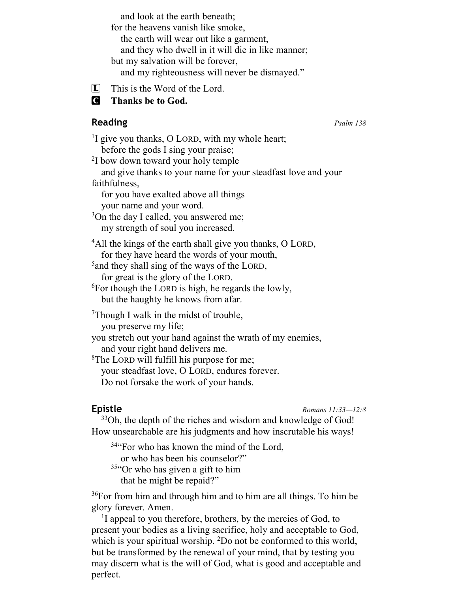and look at the earth beneath; for the heavens vanish like smoke, the earth will wear out like a garment, and they who dwell in it will die in like manner; but my salvation will be forever, and my righteousness will never be dismayed."

 $[\mathbf{L}]$  This is the Word of the Lord.

**C** Thanks be to God.

## **Reading**  $P_{salm}$  138

<sup>1</sup>I give you thanks, O LORD, with my whole heart; before the gods I sing your praise; <sup>2</sup>I bow down toward your holy temple and give thanks to your name for your steadfast love and your faithfulness, for you have exalted above all things your name and your word.  $3$ On the day I called, you answered me; my strength of soul you increased. <sup>4</sup>All the kings of the earth shall give you thanks, O LORD, for they have heard the words of your mouth,  $^5$ and they shall sing of the ways of the LORD, for great is the glory of the LORD.  $6$ For though the LORD is high, he regards the lowly, but the haughty he knows from afar. Though I walk in the midst of trouble, you preserve my life; you stretch out your hand against the wrath of my enemies, and your right hand delivers me. <sup>8</sup>The LORD will fulfill his purpose for me; your steadfast love, O LORD, endures forever. Do not forsake the work of your hands.

Epistle Romans 11:33—12:8

<sup>33</sup>Oh, the depth of the riches and wisdom and knowledge of God! How unsearchable are his judgments and how inscrutable his ways!

<sup>34</sup> For who has known the mind of the Lord,

or who has been his counselor?"

<sup>35"</sup>Or who has given a gift to him that he might be repaid?"

<sup>36</sup>For from him and through him and to him are all things. To him be glory forever. Amen.

<sup>1</sup>I appeal to you therefore, brothers, by the mercies of God, to present your bodies as a living sacrifice, holy and acceptable to God, which is your spiritual worship. <sup>2</sup>Do not be conformed to this world, but be transformed by the renewal of your mind, that by testing you may discern what is the will of God, what is good and acceptable and perfect.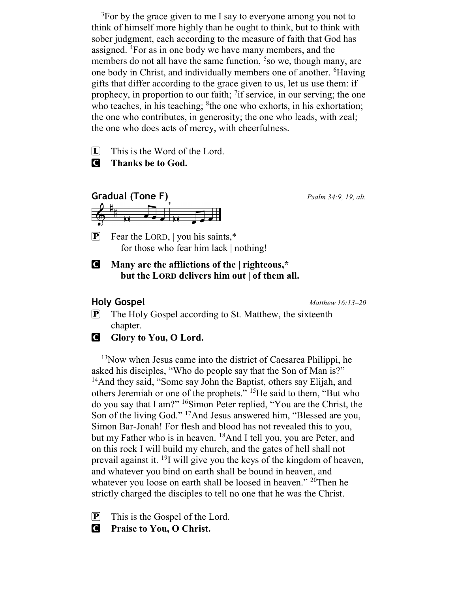$3$ For by the grace given to me I say to everyone among you not to think of himself more highly than he ought to think, but to think with sober judgment, each according to the measure of faith that God has assigned. <sup>4</sup>For as in one body we have many members, and the members do not all have the same function,  $5$  so we, though many, are one body in Christ, and individually members one of another. <sup>6</sup>Having gifts that differ according to the grace given to us, let us use them: if prophecy, in proportion to our faith; <sup>7</sup>if service, in our serving; the one who teaches, in his teaching; <sup>8</sup>the one who exhorts, in his exhortation; the one who contributes, in generosity; the one who leads, with zeal; the one who does acts of mercy, with cheerfulness.

 $\Box$  This is the Word of the Lord.

**C** Thanks be to God.



**P** Fear the LORD, you his saints, $*$ for those who fear him lack | nothing!

#### C Many are the afflictions of the | righteous,\* but the LORD delivers him out | of them all.

Holy Gospel Matthew 16:13–20

- P The Holy Gospel according to St. Matthew, the sixteenth chapter.
- **C** Glory to You, O Lord.

<sup>13</sup>Now when Jesus came into the district of Caesarea Philippi, he asked his disciples, "Who do people say that the Son of Man is?" <sup>14</sup>And they said, "Some say John the Baptist, others say Elijah, and others Jeremiah or one of the prophets." <sup>15</sup>He said to them, "But who do you say that I am?" <sup>16</sup>Simon Peter replied, "You are the Christ, the Son of the living God." <sup>17</sup>And Jesus answered him, "Blessed are you, Simon Bar-Jonah! For flesh and blood has not revealed this to you, but my Father who is in heaven. <sup>18</sup>And I tell you, you are Peter, and on this rock I will build my church, and the gates of hell shall not prevail against it.  $^{19}$ I will give you the keys of the kingdom of heaven, and whatever you bind on earth shall be bound in heaven, and whatever you loose on earth shall be loosed in heaven." <sup>20</sup>Then he strictly charged the disciples to tell no one that he was the Christ.

 $\mathbf{P}$  This is the Gospel of the Lord.

**C** Praise to You, O Christ.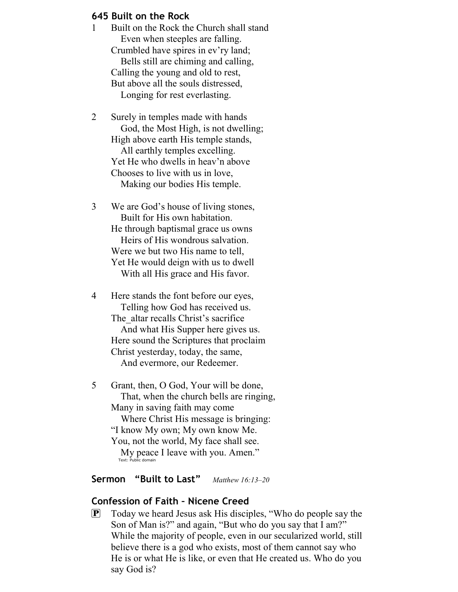#### 645 Built on the Rock

- 1 Built on the Rock the Church shall stand Even when steeples are falling. Crumbled have spires in ev'ry land; Bells still are chiming and calling, Calling the young and old to rest, But above all the souls distressed, Longing for rest everlasting.
- 2 Surely in temples made with hands God, the Most High, is not dwelling; High above earth His temple stands, All earthly temples excelling. Yet He who dwells in heav'n above Chooses to live with us in love, Making our bodies His temple.
- 3 We are God's house of living stones, Built for His own habitation. He through baptismal grace us owns Heirs of His wondrous salvation. Were we but two His name to tell, Yet He would deign with us to dwell With all His grace and His favor.
- 4 Here stands the font before our eyes, Telling how God has received us. The altar recalls Christ's sacrifice And what His Supper here gives us. Here sound the Scriptures that proclaim Christ yesterday, today, the same, And evermore, our Redeemer.
- 5 Grant, then, O God, Your will be done, That, when the church bells are ringing, Many in saving faith may come Where Christ His message is bringing: "I know My own; My own know Me. You, not the world, My face shall see. My peace I leave with you. Amen." Text: Public domain

#### Sermon "Built to Last" Matthew 16:13-20

#### Confession of Faith – Nicene Creed

P Today we heard Jesus ask His disciples, "Who do people say the Son of Man is?" and again, "But who do you say that I am?" While the majority of people, even in our secularized world, still believe there is a god who exists, most of them cannot say who He is or what He is like, or even that He created us. Who do you say God is?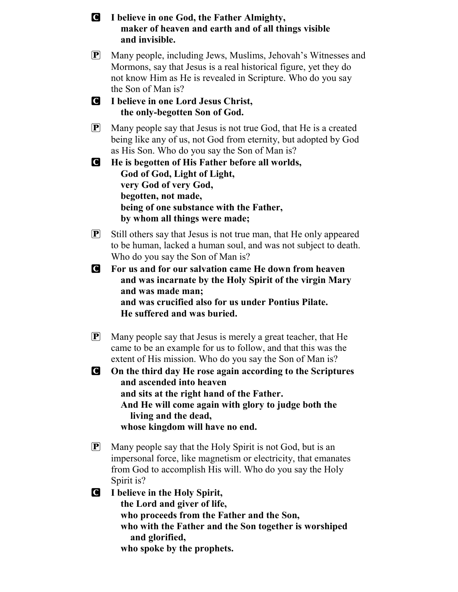C I believe in one God, the Father Almighty, maker of heaven and earth and of all things visible and invisible. P Many people, including Jews, Muslims, Jehovah's Witnesses and Mormons, say that Jesus is a real historical figure, yet they do not know Him as He is revealed in Scripture. Who do you say the Son of Man is? C I believe in one Lord Jesus Christ, the only-begotten Son of God.  $\left[ \mathbf{P} \right]$  Many people say that Jesus is not true God, that He is a created being like any of us, not God from eternity, but adopted by God as His Son. Who do you say the Son of Man is? C He is begotten of His Father before all worlds, God of God, Light of Light, very God of very God, begotten, not made, being of one substance with the Father, by whom all things were made;  $\mathbf{P}$  Still others say that Jesus is not true man, that He only appeared to be human, lacked a human soul, and was not subject to death. Who do you say the Son of Man is? C For us and for our salvation came He down from heaven and was incarnate by the Holy Spirit of the virgin Mary and was made man; and was crucified also for us under Pontius Pilate. He suffered and was buried. P Many people say that Jesus is merely a great teacher, that He came to be an example for us to follow, and that this was the extent of His mission. Who do you say the Son of Man is? C On the third day He rose again according to the Scriptures and ascended into heaven and sits at the right hand of the Father. And He will come again with glory to judge both the living and the dead, whose kingdom will have no end. P Many people say that the Holy Spirit is not God, but is an impersonal force, like magnetism or electricity, that emanates from God to accomplish His will. Who do you say the Holy Spirit is? C I believe in the Holy Spirit, the Lord and giver of life, who proceeds from the Father and the Son, who with the Father and the Son together is worshiped and glorified, who spoke by the prophets.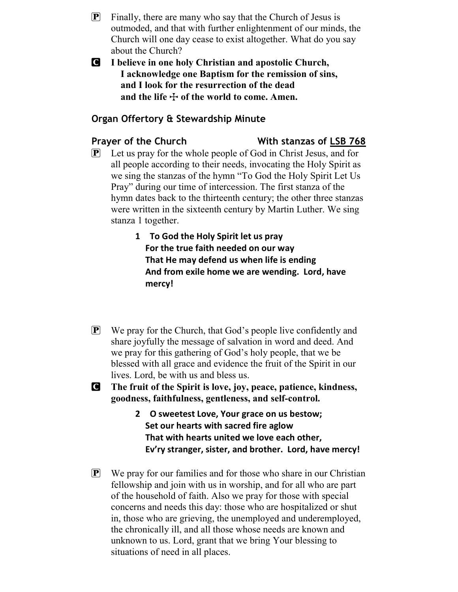- $\mathbf{P}$  Finally, there are many who say that the Church of Jesus is outmoded, and that with further enlightenment of our minds, the Church will one day cease to exist altogether. What do you say about the Church?
- C I believe in one holy Christian and apostolic Church, I acknowledge one Baptism for the remission of sins, and I look for the resurrection of the dead and the life  $\ddagger$  of the world to come. Amen.

### Organ Offertory & Stewardship Minute

#### Prayer of the Church With stanzas of LSB 768

- $\left[ \mathbf{P} \right]$  Let us pray for the whole people of God in Christ Jesus, and for all people according to their needs, invocating the Holy Spirit as we sing the stanzas of the hymn "To God the Holy Spirit Let Us Pray" during our time of intercession. The first stanza of the hymn dates back to the thirteenth century; the other three stanzas were written in the sixteenth century by Martin Luther. We sing stanza 1 together.
	- 1 To God the Holy Spirit let us pray For the true faith needed on our way That He may defend us when life is ending And from exile home we are wending. Lord, have mercy!
- $\mathbf{P}$  We pray for the Church, that God's people live confidently and share joyfully the message of salvation in word and deed. And we pray for this gathering of God's holy people, that we be blessed with all grace and evidence the fruit of the Spirit in our lives. Lord, be with us and bless us.
- C The fruit of the Spirit is love, joy, peace, patience, kindness, goodness, faithfulness, gentleness, and self-control.
	- 2 O sweetest Love, Your grace on us bestow; Set our hearts with sacred fire aglow That with hearts united we love each other, Ev'ry stranger, sister, and brother. Lord, have mercy!
- $\mathbf{P}$  We pray for our families and for those who share in our Christian fellowship and join with us in worship, and for all who are part of the household of faith. Also we pray for those with special concerns and needs this day: those who are hospitalized or shut in, those who are grieving, the unemployed and underemployed, the chronically ill, and all those whose needs are known and unknown to us. Lord, grant that we bring Your blessing to situations of need in all places.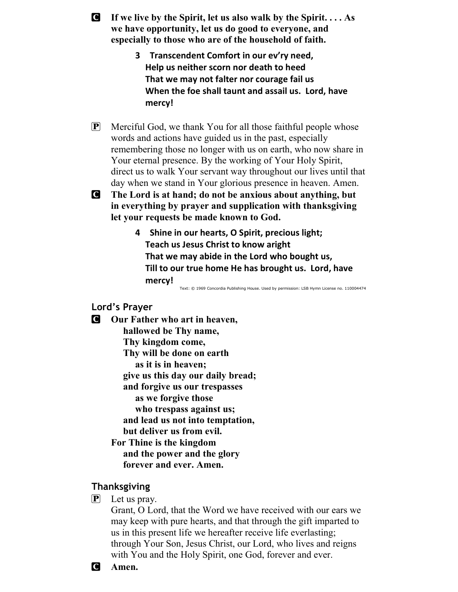- **C** If we live by the Spirit, let us also walk by the Spirit.  $\ldots$  As we have opportunity, let us do good to everyone, and especially to those who are of the household of faith.
	- 3 Transcendent Comfort in our ev'ry need, Help us neither scorn nor death to heed That we may not falter nor courage fail us When the foe shall taunt and assail us. Lord, have mercy!
- P Merciful God, we thank You for all those faithful people whose words and actions have guided us in the past, especially remembering those no longer with us on earth, who now share in Your eternal presence. By the working of Your Holy Spirit, direct us to walk Your servant way throughout our lives until that day when we stand in Your glorious presence in heaven. Amen.

C The Lord is at hand; do not be anxious about anything, but in everything by prayer and supplication with thanksgiving let your requests be made known to God.

> 4 Shine in our hearts, O Spirit, precious light; Teach us Jesus Christ to know aright That we may abide in the Lord who bought us, Till to our true home He has brought us. Lord, have mercy!

Text: © 1969 Concordia Publishing House. Used by permission: LSB Hymn License no. 110004474

#### Lord's Prayer

**C** Our Father who art in heaven, hallowed be Thy name, Thy kingdom come, Thy will be done on earth as it is in heaven; give us this day our daily bread; and forgive us our trespasses as we forgive those who trespass against us; and lead us not into temptation, but deliver us from evil. For Thine is the kingdom and the power and the glory forever and ever. Amen.

#### Thanksgiving

 $\mathbf{P}$  Let us pray.

Grant, O Lord, that the Word we have received with our ears we may keep with pure hearts, and that through the gift imparted to us in this present life we hereafter receive life everlasting; through Your Son, Jesus Christ, our Lord, who lives and reigns with You and the Holy Spirit, one God, forever and ever.

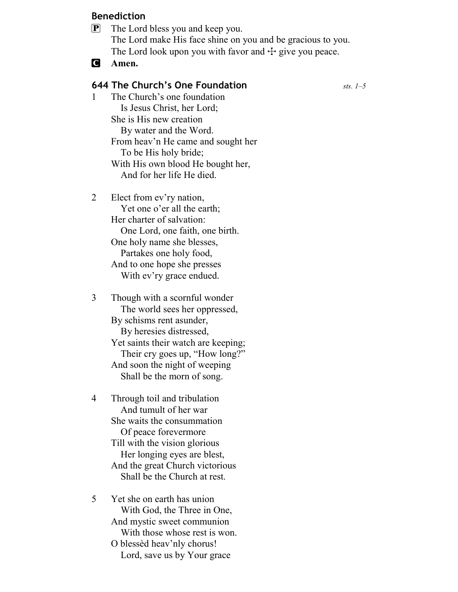#### Benediction

- P The Lord bless you and keep you. The Lord make His face shine on you and be gracious to you. The Lord look upon you with favor and  $+$  give you peace.
- **C** Amen.

### **644 The Church's One Foundation**  $sts. 1-5$

- 1 The Church's one foundation Is Jesus Christ, her Lord; She is His new creation By water and the Word. From heav'n He came and sought her To be His holy bride; With His own blood He bought her, And for her life He died.
- 2 Elect from ev'ry nation, Yet one o'er all the earth; Her charter of salvation: One Lord, one faith, one birth. One holy name she blesses, Partakes one holy food, And to one hope she presses With ev'ry grace endued.
- 3 Though with a scornful wonder The world sees her oppressed, By schisms rent asunder, By heresies distressed, Yet saints their watch are keeping; Their cry goes up, "How long?" And soon the night of weeping Shall be the morn of song.
- 4 Through toil and tribulation And tumult of her war She waits the consummation Of peace forevermore Till with the vision glorious Her longing eyes are blest, And the great Church victorious Shall be the Church at rest.
- 5 Yet she on earth has union With God, the Three in One, And mystic sweet communion With those whose rest is won. O blessèd heav'nly chorus! Lord, save us by Your grace